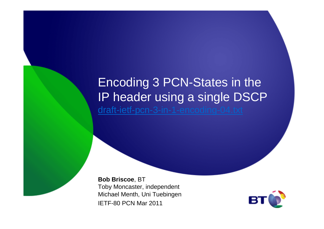## Encoding 3 PCN-States in the IP header using a single DSCPdraft-ietf-pcn-3-in-1-encoding-04.txt

**Bob Briscoe**, BT Toby Moncaster, independent Michael Menth, Uni TuebingenIETF-80 PCN Mar 2011

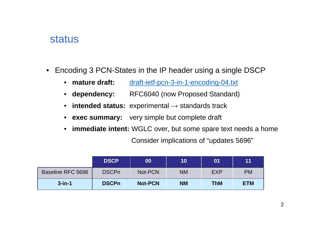## status

- Encoding 3 PCN-States in the IP header using a single DSCP
	- mature draft: draft-ietf-pcn-3-in-1-encoding-04.txt
	- dependency: **dependency:** RFC6040 (now Proposed Standard)
	- **intended status:** experimental <sup>→</sup> standards track
	- **exec summary:** very simple but complete draft
	- **immediate intent:** WGLC over, but some spare text needs a homeConsider implications of "updates 5696"

|                          | <b>IDSCP</b> | 00             | 10        | 01         | 11         |
|--------------------------|--------------|----------------|-----------|------------|------------|
| <b>Baseline RFC 5696</b> | <b>DSCPn</b> | Not-PCN        | <b>NM</b> | <b>EXP</b> | <b>PM</b>  |
| $3$ -in-1                | <b>DSCPn</b> | <b>Not-PCN</b> | <b>NM</b> | <b>ThM</b> | <b>ETM</b> |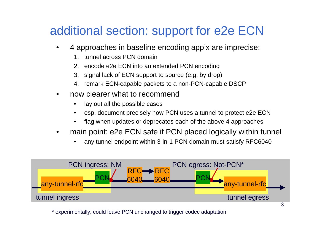## additional section: support for e2e ECN

- • 4 approaches in baseline encoding app'x are imprecise:
	- 1. tunnel across PCN domain
	- 2. encode e2e ECN into an extended PCN encoding
	- 3. signal lack of ECN support to source (e.g. by drop)
	- 4. remark ECN-capable packets to a non-PCN-capable DSCP
- • now clearer what to recommend
	- •lay out all the possible cases
	- •esp. document precisely how PCN uses a tunnel to protect e2e ECN
	- •flag when updates or deprecates each of the above 4 approaches
- • main point: e2e ECN safe if PCN placed logically within tunnel
	- •any tunnel endpoint within 3-in-1 PCN domain must satisfy RFC6040



<sup>\*</sup> experimentally, could leave PCN unchanged to trigger codec adaptation